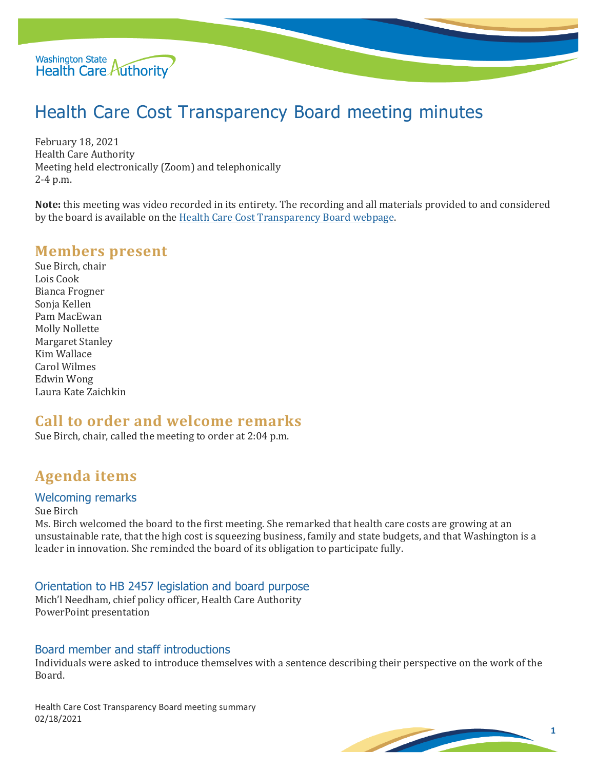

# Health Care Cost Transparency Board meeting minutes

February 18, 2021 Health Care Authority Meeting held electronically (Zoom) and telephonically 2-4 p.m.

**Note:** this meeting was video recorded in its entirety. The recording and all materials provided to and considered by the board is available on th[e Health Care Cost Transparency Board webpage.](https://www.hca.wa.gov/about-hca/health-care-cost-transparency-board)

## **Members present**

Sue Birch, chair Lois Cook Bianca Frogner Sonja Kellen Pam MacEwan Molly Nollette Margaret Stanley Kim Wallace Carol Wilmes Edwin Wong Laura Kate Zaichkin

## **Call to order and welcome remarks**

Sue Birch, chair, called the meeting to order at 2:04 p.m.

## **Agenda items**

#### Welcoming remarks

Sue Birch

Ms. Birch welcomed the board to the first meeting. She remarked that health care costs are growing at an unsustainable rate, that the high cost is squeezing business, family and state budgets, and that Washington is a leader in innovation. She reminded the board of its obligation to participate fully.

Orientation to HB 2457 legislation and board purpose

Mich'l Needham, chief policy officer, Health Care Authority PowerPoint presentation

#### Board member and staff introductions

Individuals were asked to introduce themselves with a sentence describing their perspective on the work of the Board.

Health Care Cost Transparency Board meeting summary 02/18/2021